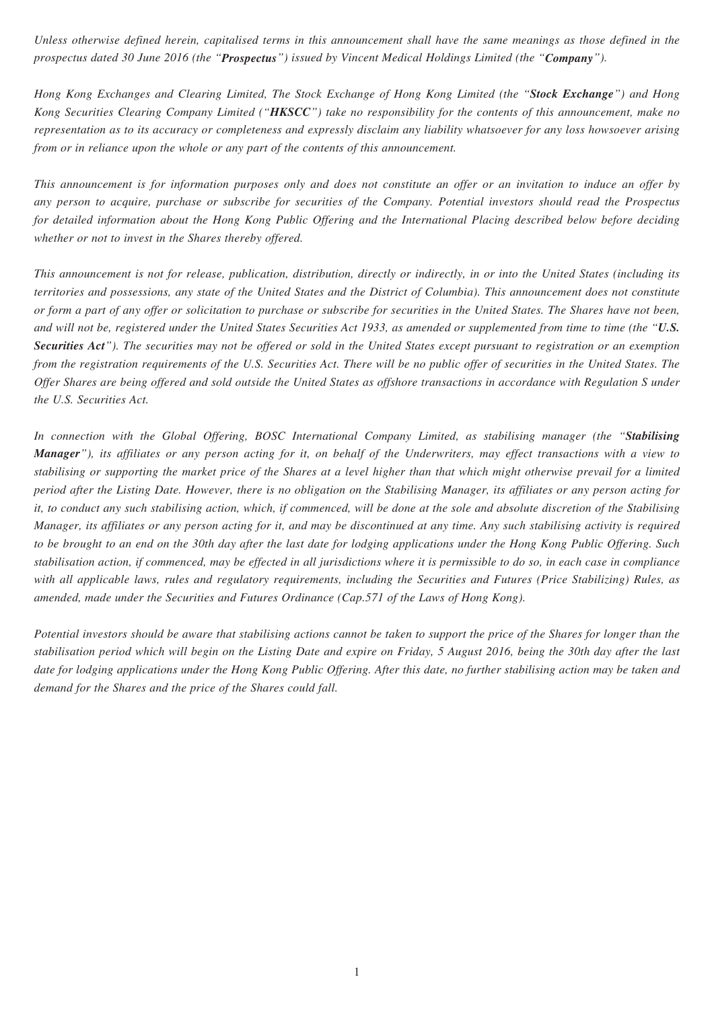*Unless otherwise defined herein, capitalised terms in this announcement shall have the same meanings as those defined in the prospectus dated 30 June 2016 (the "Prospectus") issued by Vincent Medical Holdings Limited (the "Company").*

*Hong Kong Exchanges and Clearing Limited, The Stock Exchange of Hong Kong Limited (the "Stock Exchange") and Hong Kong Securities Clearing Company Limited ("HKSCC") take no responsibility for the contents of this announcement, make no representation as to its accuracy or completeness and expressly disclaim any liability whatsoever for any loss howsoever arising from or in reliance upon the whole or any part of the contents of this announcement.*

*This announcement is for information purposes only and does not constitute an offer or an invitation to induce an offer by any person to acquire, purchase or subscribe for securities of the Company. Potential investors should read the Prospectus for detailed information about the Hong Kong Public Offering and the International Placing described below before deciding whether or not to invest in the Shares thereby offered.*

*This announcement is not for release, publication, distribution, directly or indirectly, in or into the United States (including its territories and possessions, any state of the United States and the District of Columbia). This announcement does not constitute or form a part of any offer or solicitation to purchase or subscribe for securities in the United States. The Shares have not been, and will not be, registered under the United States Securities Act 1933, as amended or supplemented from time to time (the "U.S. Securities Act"). The securities may not be offered or sold in the United States except pursuant to registration or an exemption from the registration requirements of the U.S. Securities Act. There will be no public offer of securities in the United States. The Offer Shares are being offered and sold outside the United States as offshore transactions in accordance with Regulation S under the U.S. Securities Act.*

*In connection with the Global Offering, BOSC International Company Limited, as stabilising manager (the "Stabilising Manager"), its affiliates or any person acting for it, on behalf of the Underwriters, may effect transactions with a view to stabilising or supporting the market price of the Shares at a level higher than that which might otherwise prevail for a limited period after the Listing Date. However, there is no obligation on the Stabilising Manager, its affiliates or any person acting for it, to conduct any such stabilising action, which, if commenced, will be done at the sole and absolute discretion of the Stabilising Manager, its affiliates or any person acting for it, and may be discontinued at any time. Any such stabilising activity is required to be brought to an end on the 30th day after the last date for lodging applications under the Hong Kong Public Offering. Such stabilisation action, if commenced, may be effected in all jurisdictions where it is permissible to do so, in each case in compliance with all applicable laws, rules and regulatory requirements, including the Securities and Futures (Price Stabilizing) Rules, as amended, made under the Securities and Futures Ordinance (Cap.571 of the Laws of Hong Kong).*

*Potential investors should be aware that stabilising actions cannot be taken to support the price of the Shares for longer than the stabilisation period which will begin on the Listing Date and expire on Friday, 5 August 2016, being the 30th day after the last date for lodging applications under the Hong Kong Public Offering. After this date, no further stabilising action may be taken and demand for the Shares and the price of the Shares could fall.*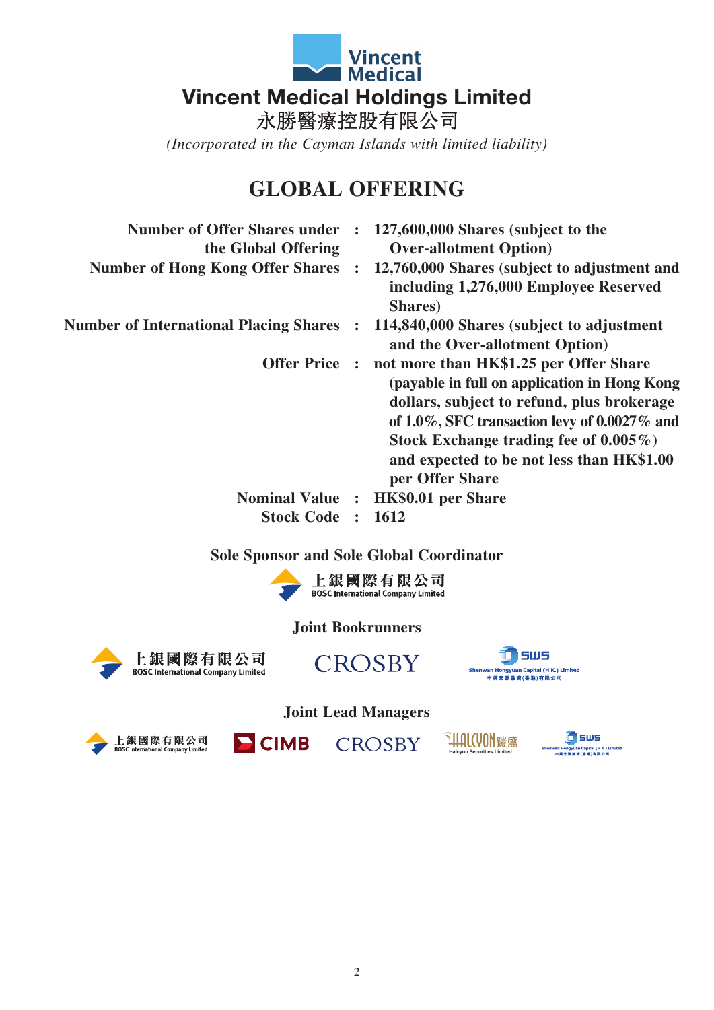

*(Incorporated in the Cayman Islands with limited liability)*

# **GLOBAL OFFERING**

| <b>Number of Offer Shares under:</b><br>the Global Offering | 127,600,000 Shares (subject to the<br><b>Over-allotment Option</b> )                                                                                                                                                                                                                                  |
|-------------------------------------------------------------|-------------------------------------------------------------------------------------------------------------------------------------------------------------------------------------------------------------------------------------------------------------------------------------------------------|
| <b>Number of Hong Kong Offer Shares</b>                     | 12,760,000 Shares (subject to adjustment and<br>including 1,276,000 Employee Reserved<br>Shares)                                                                                                                                                                                                      |
| <b>Number of International Placing Shares</b>               | 114,840,000 Shares (subject to adjustment<br>and the Over-allotment Option)                                                                                                                                                                                                                           |
| <b>Offer Price:</b>                                         | not more than HK\$1.25 per Offer Share<br>(payable in full on application in Hong Kong<br>dollars, subject to refund, plus brokerage<br>of $1.0\%$ , SFC transaction levy of 0.0027% and<br>Stock Exchange trading fee of $0.005\%$ )<br>and expected to be not less than HK\$1.00<br>per Offer Share |
| <b>Nominal Value :</b>                                      | <b>HK\$0.01 per Share</b>                                                                                                                                                                                                                                                                             |
| <b>Stock Code</b>                                           | 1612                                                                                                                                                                                                                                                                                                  |

#### **Sole Sponsor and Sole Global Coordinator**



### **Joint Bookrunners**





CROSBY



**Joint Lead Managers**



 $\blacksquare$  CIMB



**in** sws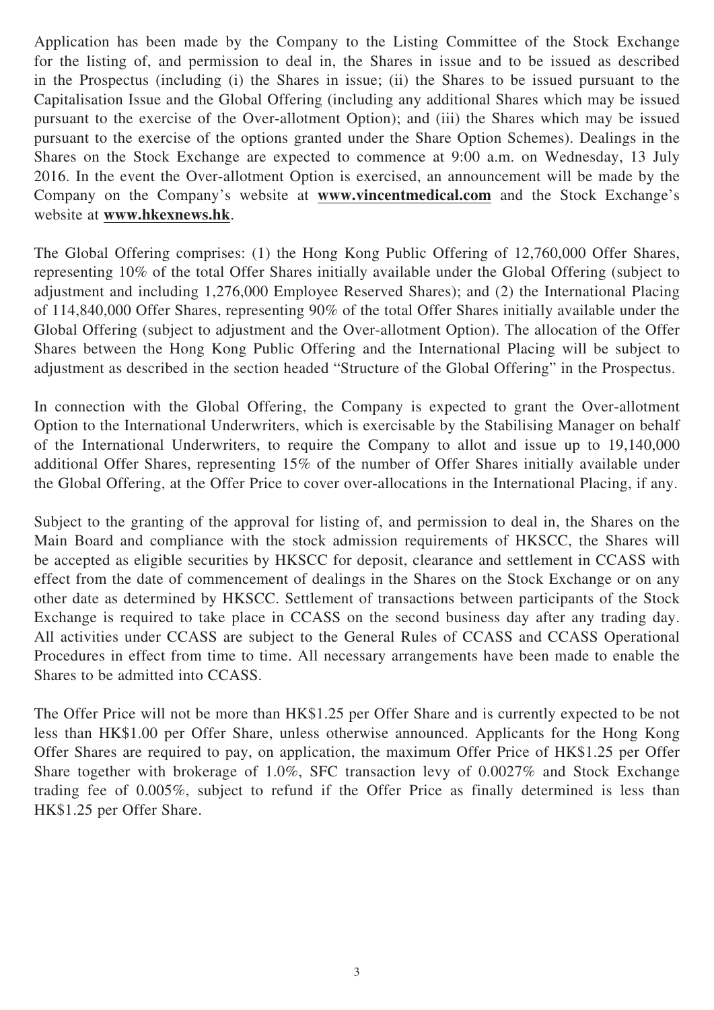Application has been made by the Company to the Listing Committee of the Stock Exchange for the listing of, and permission to deal in, the Shares in issue and to be issued as described in the Prospectus (including (i) the Shares in issue; (ii) the Shares to be issued pursuant to the Capitalisation Issue and the Global Offering (including any additional Shares which may be issued pursuant to the exercise of the Over-allotment Option); and (iii) the Shares which may be issued pursuant to the exercise of the options granted under the Share Option Schemes). Dealings in the Shares on the Stock Exchange are expected to commence at 9:00 a.m. on Wednesday, 13 July 2016. In the event the Over-allotment Option is exercised, an announcement will be made by the Company on the Company's website at **www.vincentmedical.com** and the Stock Exchange's website at **www.hkexnews.hk**.

The Global Offering comprises: (1) the Hong Kong Public Offering of 12,760,000 Offer Shares, representing 10% of the total Offer Shares initially available under the Global Offering (subject to adjustment and including 1,276,000 Employee Reserved Shares); and (2) the International Placing of 114,840,000 Offer Shares, representing 90% of the total Offer Shares initially available under the Global Offering (subject to adjustment and the Over-allotment Option). The allocation of the Offer Shares between the Hong Kong Public Offering and the International Placing will be subject to adjustment as described in the section headed "Structure of the Global Offering" in the Prospectus.

In connection with the Global Offering, the Company is expected to grant the Over-allotment Option to the International Underwriters, which is exercisable by the Stabilising Manager on behalf of the International Underwriters, to require the Company to allot and issue up to 19,140,000 additional Offer Shares, representing 15% of the number of Offer Shares initially available under the Global Offering, at the Offer Price to cover over-allocations in the International Placing, if any.

Subject to the granting of the approval for listing of, and permission to deal in, the Shares on the Main Board and compliance with the stock admission requirements of HKSCC, the Shares will be accepted as eligible securities by HKSCC for deposit, clearance and settlement in CCASS with effect from the date of commencement of dealings in the Shares on the Stock Exchange or on any other date as determined by HKSCC. Settlement of transactions between participants of the Stock Exchange is required to take place in CCASS on the second business day after any trading day. All activities under CCASS are subject to the General Rules of CCASS and CCASS Operational Procedures in effect from time to time. All necessary arrangements have been made to enable the Shares to be admitted into CCASS.

The Offer Price will not be more than HK\$1.25 per Offer Share and is currently expected to be not less than HK\$1.00 per Offer Share, unless otherwise announced. Applicants for the Hong Kong Offer Shares are required to pay, on application, the maximum Offer Price of HK\$1.25 per Offer Share together with brokerage of 1.0%, SFC transaction levy of 0.0027% and Stock Exchange trading fee of 0.005%, subject to refund if the Offer Price as finally determined is less than HK\$1.25 per Offer Share.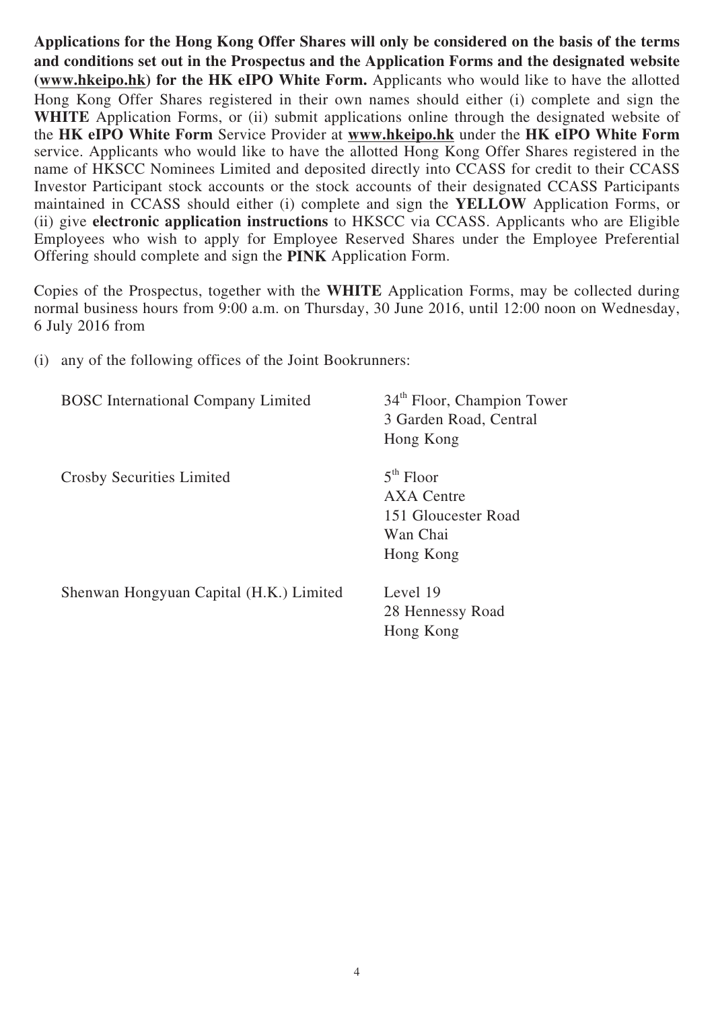**Applications for the Hong Kong Offer Shares will only be considered on the basis of the terms and conditions set out in the Prospectus and the Application Forms and the designated website (www.hkeipo.hk) for the HK eIPO White Form.** Applicants who would like to have the allotted Hong Kong Offer Shares registered in their own names should either (i) complete and sign the WHITE Application Forms, or (ii) submit applications online through the designated website of the **HK eIPO White Form** Service Provider at **www.hkeipo.hk** under the **HK eIPO White Form** service. Applicants who would like to have the allotted Hong Kong Offer Shares registered in the name of HKSCC Nominees Limited and deposited directly into CCASS for credit to their CCASS Investor Participant stock accounts or the stock accounts of their designated CCASS Participants maintained in CCASS should either (i) complete and sign the **YELLOW** Application Forms, or (ii) give **electronic application instructions** to HKSCC via CCASS. Applicants who are Eligible Employees who wish to apply for Employee Reserved Shares under the Employee Preferential Offering should complete and sign the **PINK** Application Form.

Copies of the Prospectus, together with the **WHITE** Application Forms, may be collected during normal business hours from 9:00 a.m. on Thursday, 30 June 2016, until 12:00 noon on Wednesday, 6 July 2016 from

(i) any of the following offices of the Joint Bookrunners:

| <b>BOSC</b> International Company Limited | 34 <sup>th</sup> Floor, Champion Tower<br>3 Garden Road, Central |
|-------------------------------------------|------------------------------------------------------------------|
|                                           | Hong Kong                                                        |
| Crosby Securities Limited                 | $5th$ Floor                                                      |
|                                           | AXA Centre                                                       |
|                                           | 151 Gloucester Road                                              |
|                                           | Wan Chai                                                         |
|                                           | Hong Kong                                                        |
| Shenwan Hongyuan Capital (H.K.) Limited   | Level 19                                                         |
|                                           | 28 Hennessy Road                                                 |
|                                           | Hong Kong                                                        |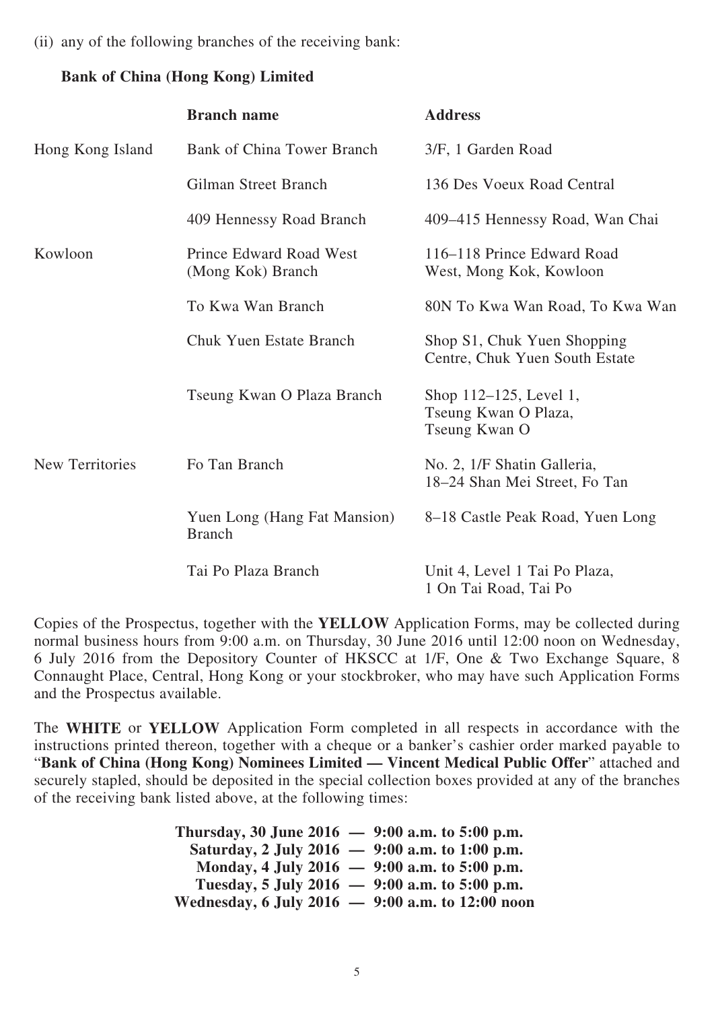(ii) any of the following branches of the receiving bank:

## **Bank of China (Hong Kong) Limited**

|                        | <b>Branch name</b>                            | <b>Address</b>                                                  |
|------------------------|-----------------------------------------------|-----------------------------------------------------------------|
| Hong Kong Island       | <b>Bank of China Tower Branch</b>             | 3/F, 1 Garden Road                                              |
|                        | Gilman Street Branch                          | 136 Des Voeux Road Central                                      |
|                        | 409 Hennessy Road Branch                      | 409–415 Hennessy Road, Wan Chai                                 |
| Kowloon                | Prince Edward Road West<br>(Mong Kok) Branch  | 116–118 Prince Edward Road<br>West, Mong Kok, Kowloon           |
|                        | To Kwa Wan Branch                             | 80N To Kwa Wan Road, To Kwa Wan                                 |
|                        | <b>Chuk Yuen Estate Branch</b>                | Shop S1, Chuk Yuen Shopping<br>Centre, Chuk Yuen South Estate   |
|                        | Tseung Kwan O Plaza Branch                    | Shop 112-125, Level 1,<br>Tseung Kwan O Plaza,<br>Tseung Kwan O |
| <b>New Territories</b> | Fo Tan Branch                                 | No. 2, 1/F Shatin Galleria,<br>18–24 Shan Mei Street, Fo Tan    |
|                        | Yuen Long (Hang Fat Mansion)<br><b>Branch</b> | 8–18 Castle Peak Road, Yuen Long                                |
|                        | Tai Po Plaza Branch                           | Unit 4, Level 1 Tai Po Plaza,<br>1 On Tai Road, Tai Po          |

Copies of the Prospectus, together with the **YELLOW** Application Forms, may be collected during normal business hours from 9:00 a.m. on Thursday, 30 June 2016 until 12:00 noon on Wednesday, 6 July 2016 from the Depository Counter of HKSCC at 1/F, One & Two Exchange Square, 8 Connaught Place, Central, Hong Kong or your stockbroker, who may have such Application Forms and the Prospectus available.

The **WHITE** or **YELLOW** Application Form completed in all respects in accordance with the instructions printed thereon, together with a cheque or a banker's cashier order marked payable to "**Bank of China (Hong Kong) Nominees Limited — Vincent Medical Public Offer**" attached and securely stapled, should be deposited in the special collection boxes provided at any of the branches of the receiving bank listed above, at the following times:

> **Thursday, 30 June 2016 — 9:00 a.m. to 5:00 p.m. Saturday, 2 July 2016 — 9:00 a.m. to 1:00 p.m. Monday, 4 July 2016 — 9:00 a.m. to 5:00 p.m. Tuesday, 5 July 2016 — 9:00 a.m. to 5:00 p.m. Wednesday, 6 July 2016 — 9:00 a.m. to 12:00 noon**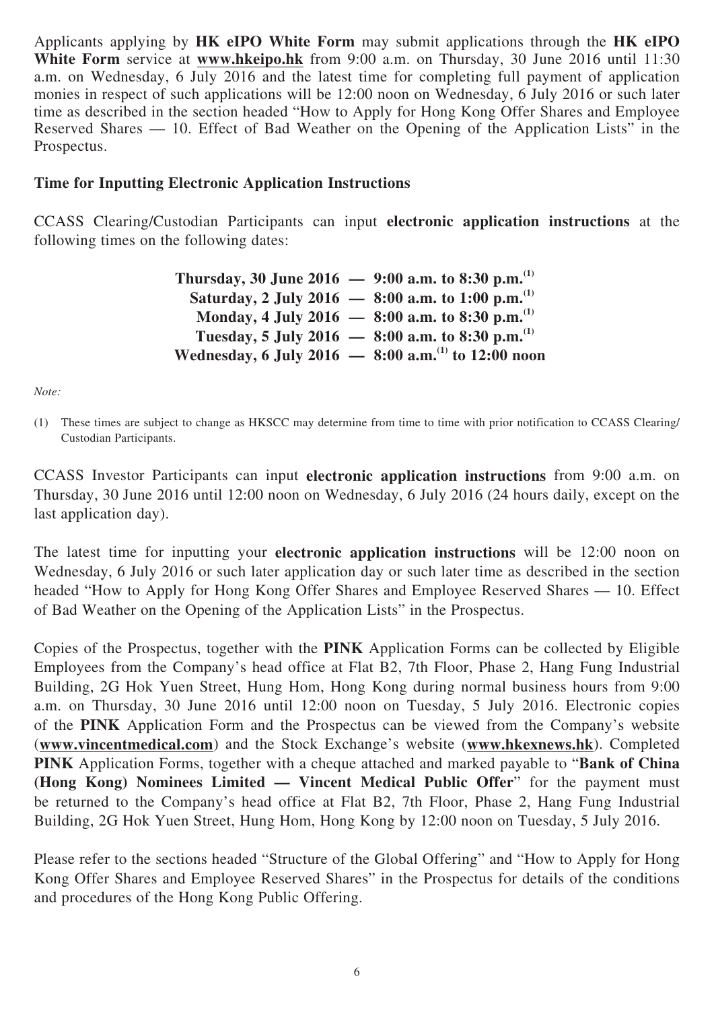Applicants applying by **HK eIPO White Form** may submit applications through the **HK eIPO White Form** service at **www.hkeipo.hk** from 9:00 a.m. on Thursday, 30 June 2016 until 11:30 a.m. on Wednesday, 6 July 2016 and the latest time for completing full payment of application monies in respect of such applications will be 12:00 noon on Wednesday, 6 July 2016 or such later time as described in the section headed "How to Apply for Hong Kong Offer Shares and Employee Reserved Shares — 10. Effect of Bad Weather on the Opening of the Application Lists" in the Prospectus.

#### **Time for Inputting Electronic Application Instructions**

CCASS Clearing/Custodian Participants can input **electronic application instructions** at the following times on the following dates:

| Thursday, 30 June 2016 - 9:00 a.m. to 8:30 p.m. <sup>(1)</sup> |                                                                   |
|----------------------------------------------------------------|-------------------------------------------------------------------|
|                                                                | Saturday, 2 July 2016 - 8:00 a.m. to 1:00 p.m. <sup>(1)</sup>     |
|                                                                | Monday, 4 July 2016 - 8:00 a.m. to 8:30 p.m. <sup>(1)</sup>       |
|                                                                | Tuesday, 5 July 2016 - 8:00 a.m. to 8:30 p.m. <sup>(1)</sup>      |
|                                                                | Wednesday, 6 July 2016 $-$ 8:00 a.m. <sup>(1)</sup> to 12:00 noon |

*Note:*

(1) These times are subject to change as HKSCC may determine from time to time with prior notification to CCASS Clearing/ Custodian Participants.

CCASS Investor Participants can input **electronic application instructions** from 9:00 a.m. on Thursday, 30 June 2016 until 12:00 noon on Wednesday, 6 July 2016 (24 hours daily, except on the last application day).

The latest time for inputting your **electronic application instructions** will be 12:00 noon on Wednesday, 6 July 2016 or such later application day or such later time as described in the section headed "How to Apply for Hong Kong Offer Shares and Employee Reserved Shares — 10. Effect of Bad Weather on the Opening of the Application Lists" in the Prospectus.

Copies of the Prospectus, together with the **PINK** Application Forms can be collected by Eligible Employees from the Company's head office at Flat B2, 7th Floor, Phase 2, Hang Fung Industrial Building, 2G Hok Yuen Street, Hung Hom, Hong Kong during normal business hours from 9:00 a.m. on Thursday, 30 June 2016 until 12:00 noon on Tuesday, 5 July 2016. Electronic copies of the **PINK** Application Form and the Prospectus can be viewed from the Company's website (**www.vincentmedical.com**) and the Stock Exchange's website (**www.hkexnews.hk**). Completed **PINK** Application Forms, together with a cheque attached and marked payable to "**Bank of China (Hong Kong) Nominees Limited — Vincent Medical Public Offer**" for the payment must be returned to the Company's head office at Flat B2, 7th Floor, Phase 2, Hang Fung Industrial Building, 2G Hok Yuen Street, Hung Hom, Hong Kong by 12:00 noon on Tuesday, 5 July 2016.

Please refer to the sections headed "Structure of the Global Offering" and "How to Apply for Hong Kong Offer Shares and Employee Reserved Shares" in the Prospectus for details of the conditions and procedures of the Hong Kong Public Offering.